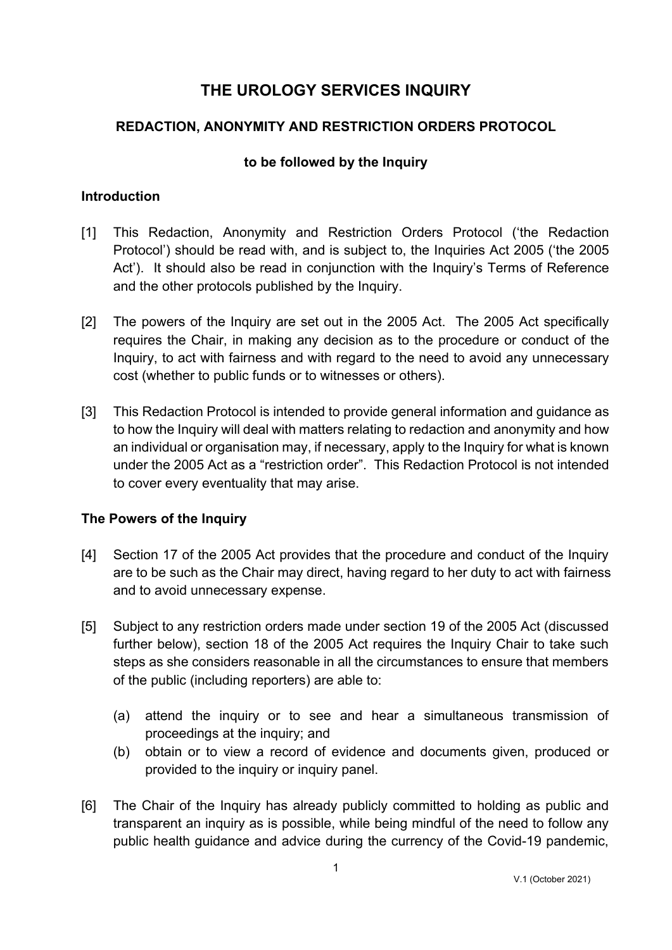# **THE UROLOGY SERVICES INQUIRY**

## **REDACTION, ANONYMITY AND RESTRICTION ORDERS PROTOCOL**

### **to be followed by the Inquiry**

#### **Introduction**

- [1] This Redaction, Anonymity and Restriction Orders Protocol ('the Redaction Protocol') should be read with, and is subject to, the Inquiries Act 2005 ('the 2005 Act'). It should also be read in conjunction with the Inquiry's Terms of Reference and the other protocols published by the Inquiry.
- [2] The powers of the Inquiry are set out in the 2005 Act. The 2005 Act specifically requires the Chair, in making any decision as to the procedure or conduct of the Inquiry, to act with fairness and with regard to the need to avoid any unnecessary cost (whether to public funds or to witnesses or others).
- [3] This Redaction Protocol is intended to provide general information and guidance as to how the Inquiry will deal with matters relating to redaction and anonymity and how an individual or organisation may, if necessary, apply to the Inquiry for what is known under the 2005 Act as a "restriction order". This Redaction Protocol is not intended to cover every eventuality that may arise.

### **The Powers of the Inquiry**

- [4] Section 17 of the 2005 Act provides that the procedure and conduct of the Inquiry are to be such as the Chair may direct, having regard to her duty to act with fairness and to avoid unnecessary expense.
- [5] Subject to any restriction orders made under section 19 of the 2005 Act (discussed further below), section 18 of the 2005 Act requires the Inquiry Chair to take such steps as she considers reasonable in all the circumstances to ensure that members of the public (including reporters) are able to:
	- (a) attend the inquiry or to see and hear a simultaneous transmission of proceedings at the inquiry; and
	- (b) obtain or to view a record of evidence and documents given, produced or provided to the inquiry or inquiry panel.
- [6] The Chair of the Inquiry has already publicly committed to holding as public and transparent an inquiry as is possible, while being mindful of the need to follow any public health guidance and advice during the currency of the Covid-19 pandemic,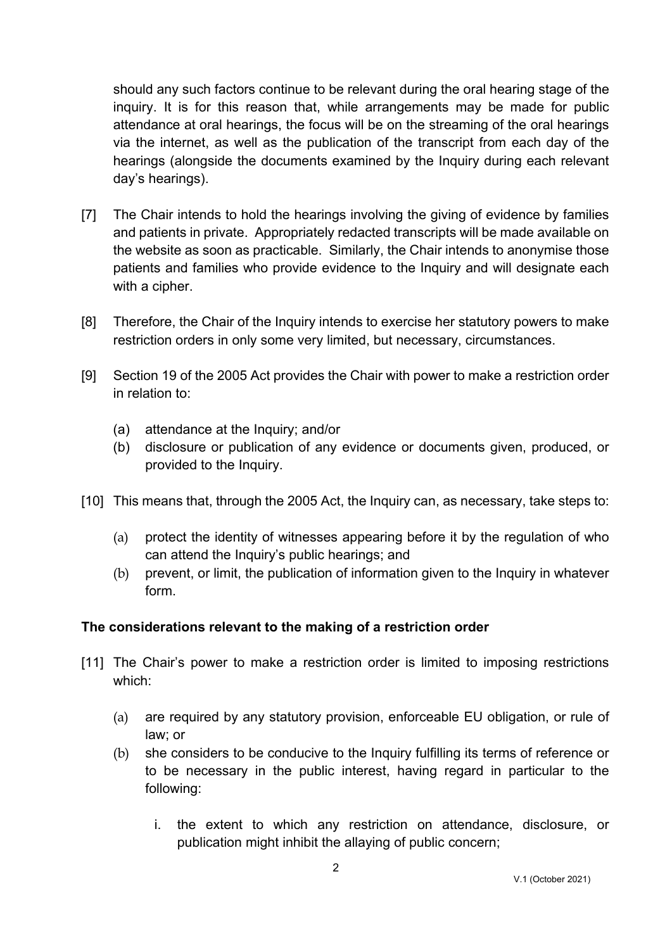should any such factors continue to be relevant during the oral hearing stage of the inquiry. It is for this reason that, while arrangements may be made for public attendance at oral hearings, the focus will be on the streaming of the oral hearings via the internet, as well as the publication of the transcript from each day of the hearings (alongside the documents examined by the Inquiry during each relevant day's hearings).

- [7] The Chair intends to hold the hearings involving the giving of evidence by families and patients in private. Appropriately redacted transcripts will be made available on the website as soon as practicable. Similarly, the Chair intends to anonymise those patients and families who provide evidence to the Inquiry and will designate each with a cipher.
- [8] Therefore, the Chair of the Inquiry intends to exercise her statutory powers to make restriction orders in only some very limited, but necessary, circumstances.
- [9] Section 19 of the 2005 Act provides the Chair with power to make a restriction order in relation to:
	- (a) attendance at the Inquiry; and/or
	- (b) disclosure or publication of any evidence or documents given, produced, or provided to the Inquiry.
- [10] This means that, through the 2005 Act, the Inquiry can, as necessary, take steps to:
	- (a) protect the identity of witnesses appearing before it by the regulation of who can attend the Inquiry's public hearings; and
	- (b) prevent, or limit, the publication of information given to the Inquiry in whatever form.

### **The considerations relevant to the making of a restriction order**

- [11] The Chair's power to make a restriction order is limited to imposing restrictions which:
	- (a) are required by any statutory provision, enforceable EU obligation, or rule of law; or
	- (b) she considers to be conducive to the Inquiry fulfilling its terms of reference or to be necessary in the public interest, having regard in particular to the following:
		- i. the extent to which any restriction on attendance, disclosure, or publication might inhibit the allaying of public concern;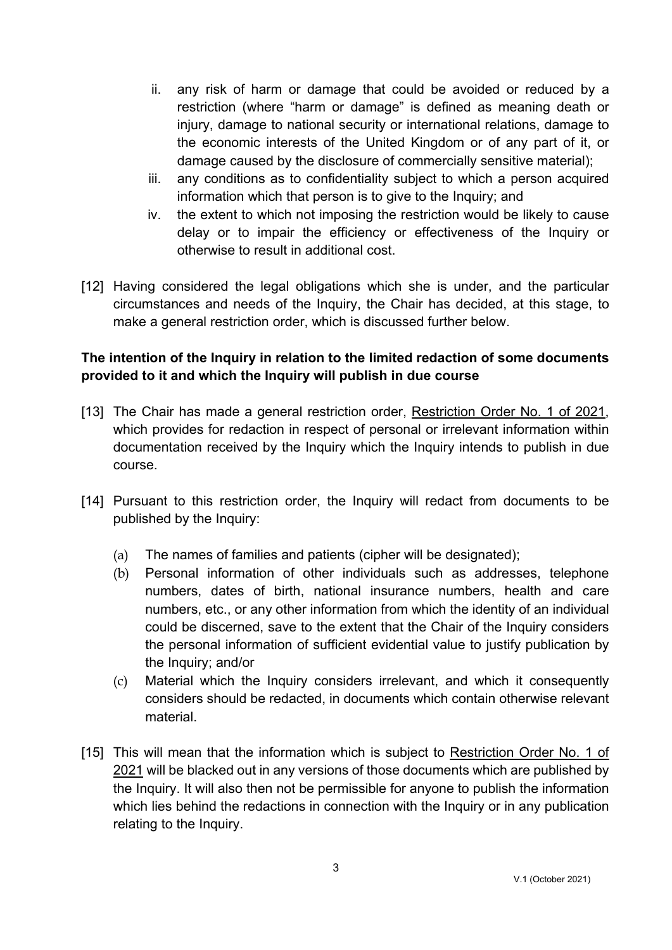- ii. any risk of harm or damage that could be avoided or reduced by a restriction (where "harm or damage" is defined as meaning death or injury, damage to national security or international relations, damage to the economic interests of the United Kingdom or of any part of it, or damage caused by the disclosure of commercially sensitive material);
- iii. any conditions as to confidentiality subject to which a person acquired information which that person is to give to the Inquiry; and
- iv. the extent to which not imposing the restriction would be likely to cause delay or to impair the efficiency or effectiveness of the Inquiry or otherwise to result in additional cost.
- [12] Having considered the legal obligations which she is under, and the particular circumstances and needs of the Inquiry, the Chair has decided, at this stage, to make a general restriction order, which is discussed further below.

# **The intention of the Inquiry in relation to the limited redaction of some documents provided to it and which the Inquiry will publish in due course**

- [13] The Chair has made a general restriction order, Restriction Order No. 1 of 2021, which provides for redaction in respect of personal or irrelevant information within documentation received by the Inquiry which the Inquiry intends to publish in due course.
- [14] Pursuant to this restriction order, the Inquiry will redact from documents to be published by the Inquiry:
	- (a) The names of families and patients (cipher will be designated);
	- (b) Personal information of other individuals such as addresses, telephone numbers, dates of birth, national insurance numbers, health and care numbers, etc., or any other information from which the identity of an individual could be discerned, save to the extent that the Chair of the Inquiry considers the personal information of sufficient evidential value to justify publication by the Inquiry; and/or
	- (c) Material which the Inquiry considers irrelevant, and which it consequently considers should be redacted, in documents which contain otherwise relevant material.
- [15] This will mean that the information which is subject to Restriction Order No. 1 of 2021 will be blacked out in any versions of those documents which are published by the Inquiry. It will also then not be permissible for anyone to publish the information which lies behind the redactions in connection with the Inquiry or in any publication relating to the Inquiry.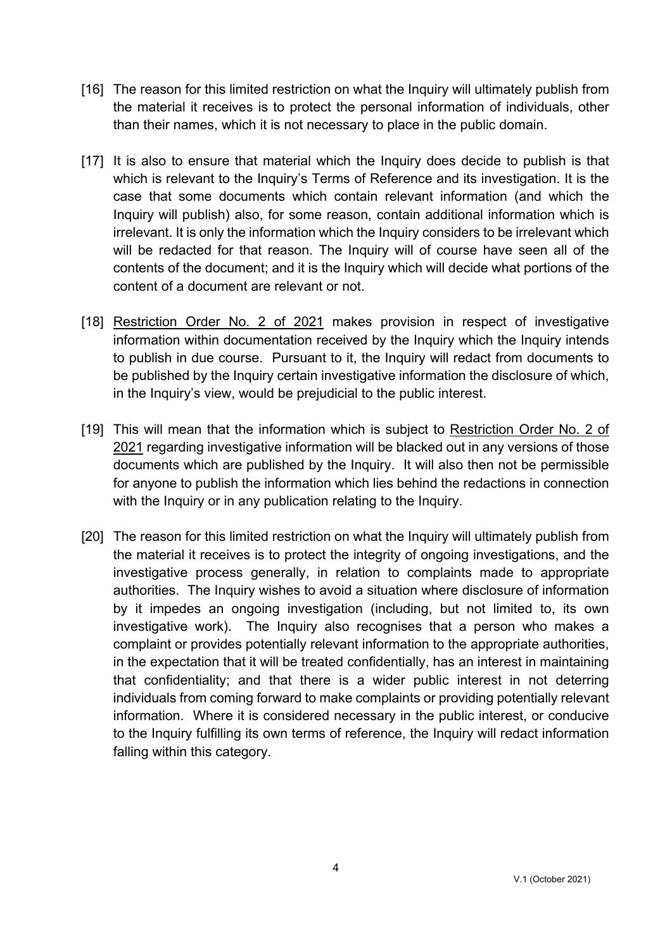- [16] The reason for this limited restriction on what the Inquiry will ultimately publish from the material it receives is to protect the personal information of individuals, other than their names, which it is not necessary to place in the public domain.
- [17] It is also to ensure that material which the Inquiry does decide to publish is that which is relevant to the Inquiry's Terms of Reference and its investigation. It is the case that some documents which contain relevant information (and which the Inquiry will publish) also, for some reason, contain additional information which is irrelevant. It is only the information which the Inquiry considers to be irrelevant which will be redacted for that reason. The Inquiry will of course have seen all of the contents of the document; and it is the Inquiry which will decide what portions of the content of a document are relevant or not.
- [18] Restriction Order No. 2 of 2021 makes provision in respect of investigative information within documentation received by the Inquiry which the Inquiry intends to publish in due course. Pursuant to it, the Inquiry will redact from documents to be published by the Inquiry certain investigative information the disclosure of which, in the Inquiry's view, would be prejudicial to the public interest.
- [19] This will mean that the information which is subject to Restriction Order No. 2 of 2021 regarding investigative information will be blacked out in any versions of those documents which are published by the Inquiry. It will also then not be permissible for anyone to publish the information which lies behind the redactions in connection with the Inquiry or in any publication relating to the Inquiry.
- [20] The reason for this limited restriction on what the Inquiry will ultimately publish from the material it receives is to protect the integrity of ongoing investigations, and the investigative process generally, in relation to complaints made to appropriate authorities. The Inquiry wishes to avoid a situation where disclosure of information by it impedes an ongoing investigation (including, but not limited to, its own investigative work). The Inquiry also recognises that a person who makes a complaint or provides potentially relevant information to the appropriate authorities, in the expectation that it will be treated confidentially, has an interest in maintaining that confidentiality; and that there is a wider public interest in not deterring individuals from coming forward to make complaints or providing potentially relevant information. Where it is considered necessary in the public interest, or conducive to the Inquiry fulfilling its own terms of reference, the Inquiry will redact information falling within this category.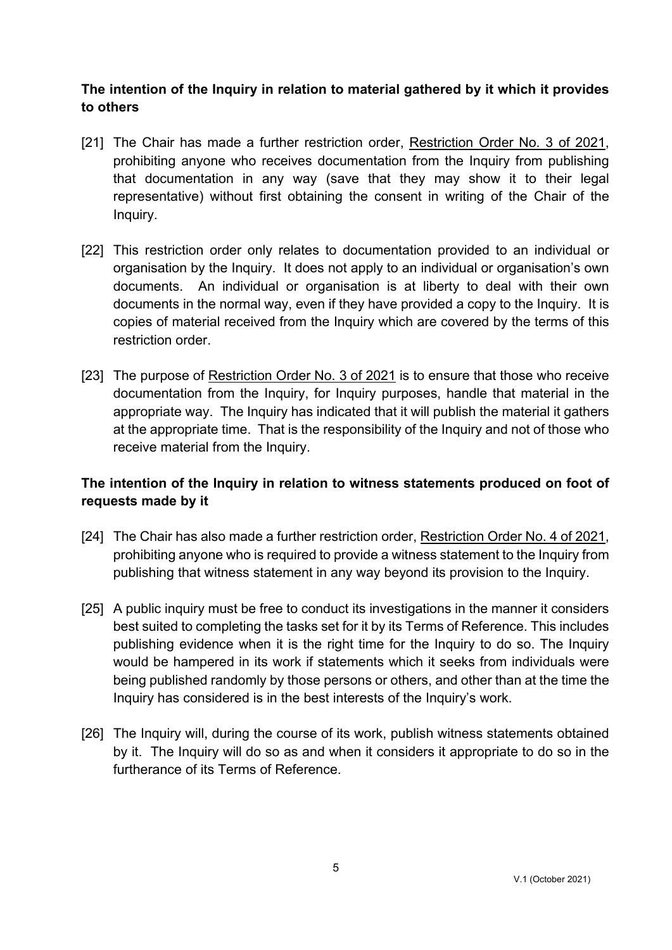## **The intention of the Inquiry in relation to material gathered by it which it provides to others**

- [21] The Chair has made a further restriction order, Restriction Order No. 3 of 2021, prohibiting anyone who receives documentation from the Inquiry from publishing that documentation in any way (save that they may show it to their legal representative) without first obtaining the consent in writing of the Chair of the Inquiry.
- [22] This restriction order only relates to documentation provided to an individual or organisation by the Inquiry. It does not apply to an individual or organisation's own documents. An individual or organisation is at liberty to deal with their own documents in the normal way, even if they have provided a copy to the Inquiry. It is copies of material received from the Inquiry which are covered by the terms of this restriction order.
- [23] The purpose of Restriction Order No. 3 of 2021 is to ensure that those who receive documentation from the Inquiry, for Inquiry purposes, handle that material in the appropriate way. The Inquiry has indicated that it will publish the material it gathers at the appropriate time. That is the responsibility of the Inquiry and not of those who receive material from the Inquiry.

# **The intention of the Inquiry in relation to witness statements produced on foot of requests made by it**

- [24] The Chair has also made a further restriction order, Restriction Order No. 4 of 2021, prohibiting anyone who is required to provide a witness statement to the Inquiry from publishing that witness statement in any way beyond its provision to the Inquiry.
- [25] A public inquiry must be free to conduct its investigations in the manner it considers best suited to completing the tasks set for it by its Terms of Reference. This includes publishing evidence when it is the right time for the Inquiry to do so. The Inquiry would be hampered in its work if statements which it seeks from individuals were being published randomly by those persons or others, and other than at the time the Inquiry has considered is in the best interests of the Inquiry's work.
- [26] The Inquiry will, during the course of its work, publish witness statements obtained by it. The Inquiry will do so as and when it considers it appropriate to do so in the furtherance of its Terms of Reference.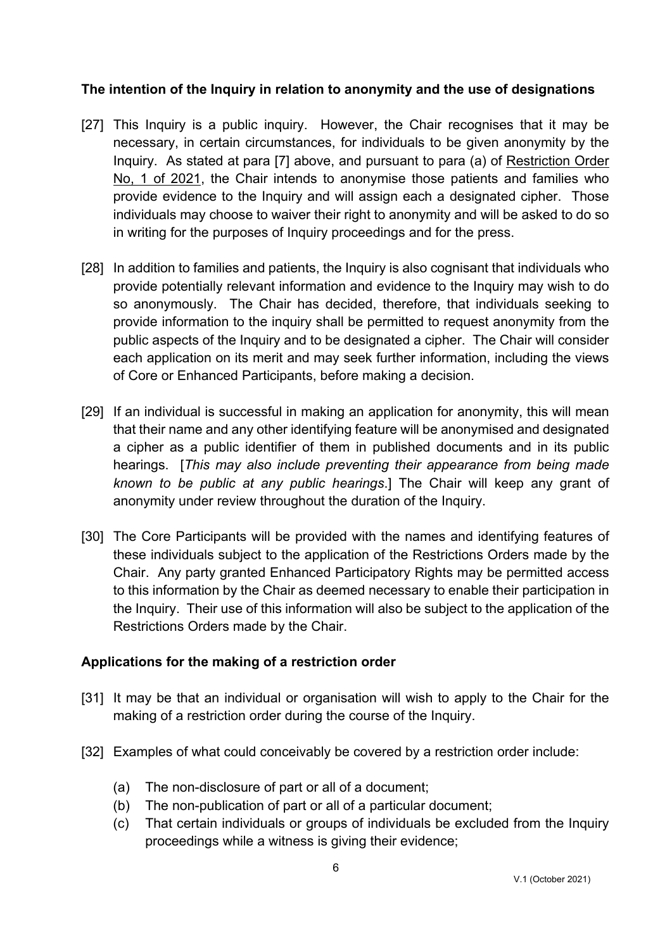### **The intention of the Inquiry in relation to anonymity and the use of designations**

- [27] This Inquiry is a public inquiry. However, the Chair recognises that it may be necessary, in certain circumstances, for individuals to be given anonymity by the Inquiry. As stated at para [7] above, and pursuant to para (a) of Restriction Order No, 1 of 2021, the Chair intends to anonymise those patients and families who provide evidence to the Inquiry and will assign each a designated cipher. Those individuals may choose to waiver their right to anonymity and will be asked to do so in writing for the purposes of Inquiry proceedings and for the press.
- [28] In addition to families and patients, the Inquiry is also cognisant that individuals who provide potentially relevant information and evidence to the Inquiry may wish to do so anonymously. The Chair has decided, therefore, that individuals seeking to provide information to the inquiry shall be permitted to request anonymity from the public aspects of the Inquiry and to be designated a cipher. The Chair will consider each application on its merit and may seek further information, including the views of Core or Enhanced Participants, before making a decision.
- [29] If an individual is successful in making an application for anonymity, this will mean that their name and any other identifying feature will be anonymised and designated a cipher as a public identifier of them in published documents and in its public hearings. [*This may also include preventing their appearance from being made known to be public at any public hearings*.] The Chair will keep any grant of anonymity under review throughout the duration of the Inquiry.
- [30] The Core Participants will be provided with the names and identifying features of these individuals subject to the application of the Restrictions Orders made by the Chair. Any party granted Enhanced Participatory Rights may be permitted access to this information by the Chair as deemed necessary to enable their participation in the Inquiry. Their use of this information will also be subject to the application of the Restrictions Orders made by the Chair.

### **Applications for the making of a restriction order**

- [31] It may be that an individual or organisation will wish to apply to the Chair for the making of a restriction order during the course of the Inquiry.
- [32] Examples of what could conceivably be covered by a restriction order include:
	- (a) The non-disclosure of part or all of a document;
	- (b) The non-publication of part or all of a particular document;
	- (c) That certain individuals or groups of individuals be excluded from the Inquiry proceedings while a witness is giving their evidence;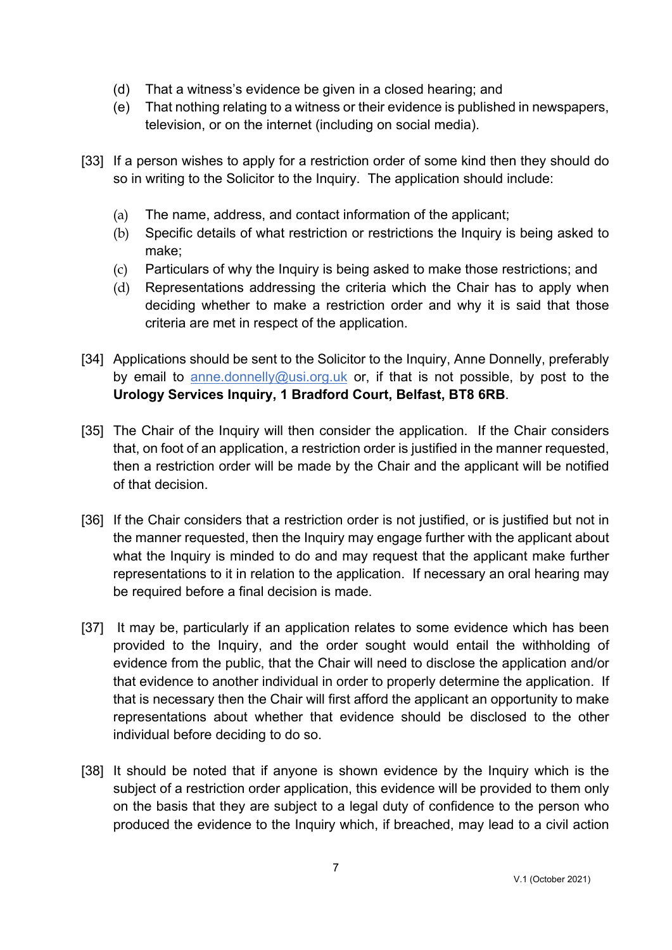- (d) That a witness's evidence be given in a closed hearing; and
- (e) That nothing relating to a witness or their evidence is published in newspapers, television, or on the internet (including on social media).
- [33] If a person wishes to apply for a restriction order of some kind then they should do so in writing to the Solicitor to the Inquiry. The application should include:
	- (a) The name, address, and contact information of the applicant;
	- (b) Specific details of what restriction or restrictions the Inquiry is being asked to make;
	- (c) Particulars of why the Inquiry is being asked to make those restrictions; and
	- (d) Representations addressing the criteria which the Chair has to apply when deciding whether to make a restriction order and why it is said that those criteria are met in respect of the application.
- [34] Applications should be sent to the Solicitor to the Inquiry, Anne Donnelly, preferably by email to anne.donnelly@usi.org.uk or, if that is not possible, by post to the **Urology Services Inquiry, 1 Bradford Court, Belfast, BT8 6RB**.
- [35] The Chair of the Inquiry will then consider the application. If the Chair considers that, on foot of an application, a restriction order is justified in the manner requested, then a restriction order will be made by the Chair and the applicant will be notified of that decision.
- [36] If the Chair considers that a restriction order is not justified, or is justified but not in the manner requested, then the Inquiry may engage further with the applicant about what the Inquiry is minded to do and may request that the applicant make further representations to it in relation to the application. If necessary an oral hearing may be required before a final decision is made.
- [37] It may be, particularly if an application relates to some evidence which has been provided to the Inquiry, and the order sought would entail the withholding of evidence from the public, that the Chair will need to disclose the application and/or that evidence to another individual in order to properly determine the application. If that is necessary then the Chair will first afford the applicant an opportunity to make representations about whether that evidence should be disclosed to the other individual before deciding to do so.
- [38] It should be noted that if anyone is shown evidence by the Inquiry which is the subject of a restriction order application, this evidence will be provided to them only on the basis that they are subject to a legal duty of confidence to the person who produced the evidence to the Inquiry which, if breached, may lead to a civil action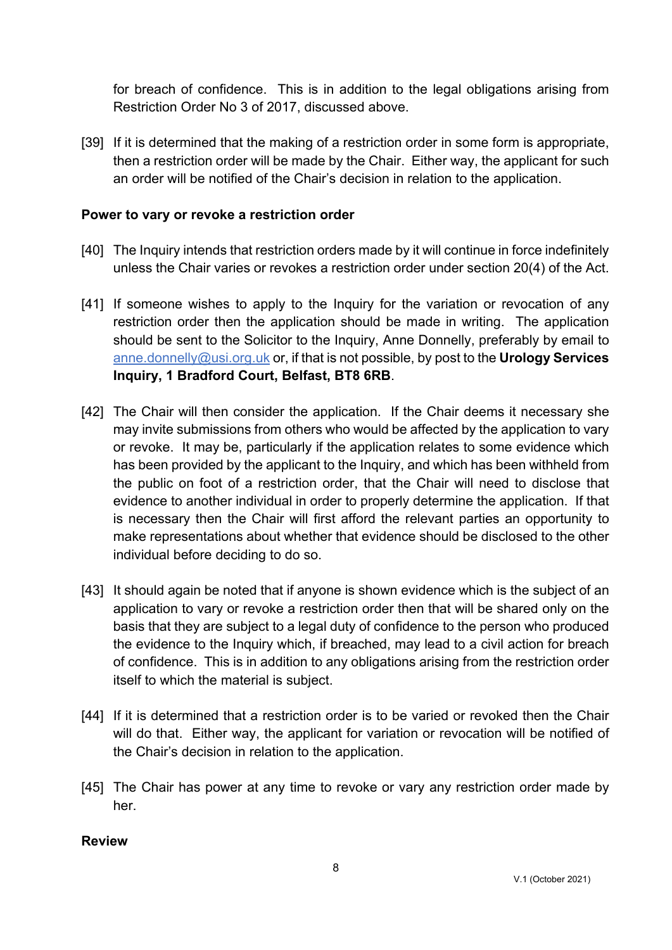for breach of confidence. This is in addition to the legal obligations arising from Restriction Order No 3 of 2017, discussed above.

[39] If it is determined that the making of a restriction order in some form is appropriate, then a restriction order will be made by the Chair. Either way, the applicant for such an order will be notified of the Chair's decision in relation to the application.

#### **Power to vary or revoke a restriction order**

- [40] The Inquiry intends that restriction orders made by it will continue in force indefinitely unless the Chair varies or revokes a restriction order under section 20(4) of the Act.
- [41] If someone wishes to apply to the Inquiry for the variation or revocation of any restriction order then the application should be made in writing. The application should be sent to the Solicitor to the Inquiry, Anne Donnelly, preferably by email to anne.donnelly@usi.org.uk or, if that is not possible, by post to the **Urology Services Inquiry, 1 Bradford Court, Belfast, BT8 6RB**.
- [42] The Chair will then consider the application. If the Chair deems it necessary she may invite submissions from others who would be affected by the application to vary or revoke. It may be, particularly if the application relates to some evidence which has been provided by the applicant to the Inquiry, and which has been withheld from the public on foot of a restriction order, that the Chair will need to disclose that evidence to another individual in order to properly determine the application. If that is necessary then the Chair will first afford the relevant parties an opportunity to make representations about whether that evidence should be disclosed to the other individual before deciding to do so.
- [43] It should again be noted that if anyone is shown evidence which is the subject of an application to vary or revoke a restriction order then that will be shared only on the basis that they are subject to a legal duty of confidence to the person who produced the evidence to the Inquiry which, if breached, may lead to a civil action for breach of confidence. This is in addition to any obligations arising from the restriction order itself to which the material is subject.
- [44] If it is determined that a restriction order is to be varied or revoked then the Chair will do that. Either way, the applicant for variation or revocation will be notified of the Chair's decision in relation to the application.
- [45] The Chair has power at any time to revoke or vary any restriction order made by her.

#### **Review**